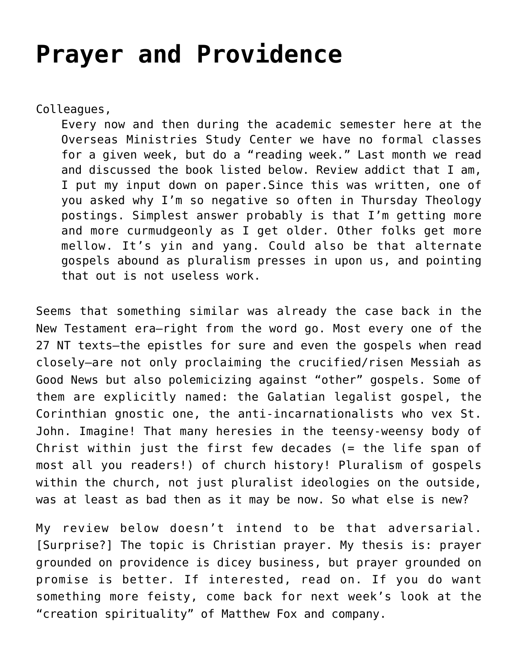## **[Prayer and Providence](https://crossings.org/prayer-and-providence/)**

Colleagues,

Every now and then during the academic semester here at the Overseas Ministries Study Center we have no formal classes for a given week, but do a "reading week." Last month we read and discussed the book listed below. Review addict that I am, I put my input down on paper.Since this was written, one of you asked why I'm so negative so often in Thursday Theology postings. Simplest answer probably is that I'm getting more and more curmudgeonly as I get older. Other folks get more mellow. It's yin and yang. Could also be that alternate gospels abound as pluralism presses in upon us, and pointing that out is not useless work.

Seems that something similar was already the case back in the New Testament era–right from the word go. Most every one of the 27 NT texts–the epistles for sure and even the gospels when read closely–are not only proclaiming the crucified/risen Messiah as Good News but also polemicizing against "other" gospels. Some of them are explicitly named: the Galatian legalist gospel, the Corinthian gnostic one, the anti-incarnationalists who vex St. John. Imagine! That many heresies in the teensy-weensy body of Christ within just the first few decades (= the life span of most all you readers!) of church history! Pluralism of gospels within the church, not just pluralist ideologies on the outside, was at least as bad then as it may be now. So what else is new?

My review below doesn't intend to be that adversarial. [Surprise?] The topic is Christian prayer. My thesis is: prayer grounded on providence is dicey business, but prayer grounded on promise is better. If interested, read on. If you do want something more feisty, come back for next week's look at the "creation spirituality" of Matthew Fox and company.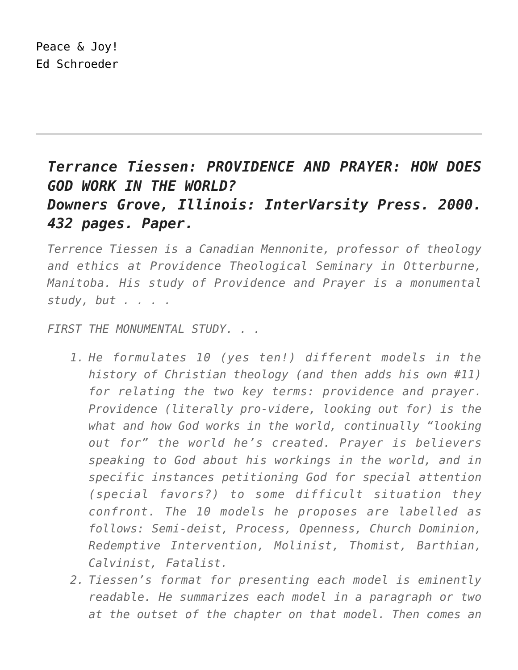## Peace & Joy! Ed Schroeder

## *Terrance Tiessen: PROVIDENCE AND PRAYER: HOW DOES GOD WORK IN THE WORLD? Downers Grove, Illinois: InterVarsity Press. 2000. 432 pages. Paper.*

*Terrence Tiessen is a Canadian Mennonite, professor of theology and ethics at Providence Theological Seminary in Otterburne, Manitoba. His study of Providence and Prayer is a monumental study, but . . . .*

*FIRST THE MONUMENTAL STUDY. . .*

- *1. He formulates 10 (yes ten!) different models in the history of Christian theology (and then adds his own #11) for relating the two key terms: providence and prayer. Providence (literally pro-videre, looking out for) is the what and how God works in the world, continually "looking out for" the world he's created. Prayer is believers speaking to God about his workings in the world, and in specific instances petitioning God for special attention (special favors?) to some difficult situation they confront. The 10 models he proposes are labelled as follows: Semi-deist, Process, Openness, Church Dominion, Redemptive Intervention, Molinist, Thomist, Barthian, Calvinist, Fatalist.*
- *2. Tiessen's format for presenting each model is eminently readable. He summarizes each model in a paragraph or two at the outset of the chapter on that model. Then comes an*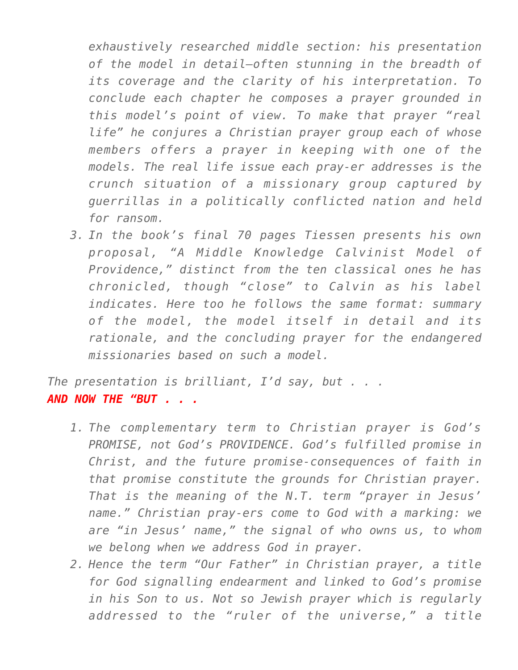*exhaustively researched middle section: his presentation of the model in detail–often stunning in the breadth of its coverage and the clarity of his interpretation. To conclude each chapter he composes a prayer grounded in this model's point of view. To make that prayer "real life" he conjures a Christian prayer group each of whose members offers a prayer in keeping with one of the models. The real life issue each pray-er addresses is the crunch situation of a missionary group captured by guerrillas in a politically conflicted nation and held for ransom.*

*3. In the book's final 70 pages Tiessen presents his own proposal, "A Middle Knowledge Calvinist Model of Providence," distinct from the ten classical ones he has chronicled, though "close" to Calvin as his label indicates. Here too he follows the same format: summary of the model, the model itself in detail and its rationale, and the concluding prayer for the endangered missionaries based on such a model.*

*The presentation is brilliant, I'd say, but . . . AND NOW THE "BUT . . .*

- *1. The complementary term to Christian prayer is God's PROMISE, not God's PROVIDENCE. God's fulfilled promise in Christ, and the future promise-consequences of faith in that promise constitute the grounds for Christian prayer. That is the meaning of the N.T. term "prayer in Jesus' name." Christian pray-ers come to God with a marking: we are "in Jesus' name," the signal of who owns us, to whom we belong when we address God in prayer.*
- *2. Hence the term "Our Father" in Christian prayer, a title for God signalling endearment and linked to God's promise in his Son to us. Not so Jewish prayer which is regularly addressed to the "ruler of the universe," a title*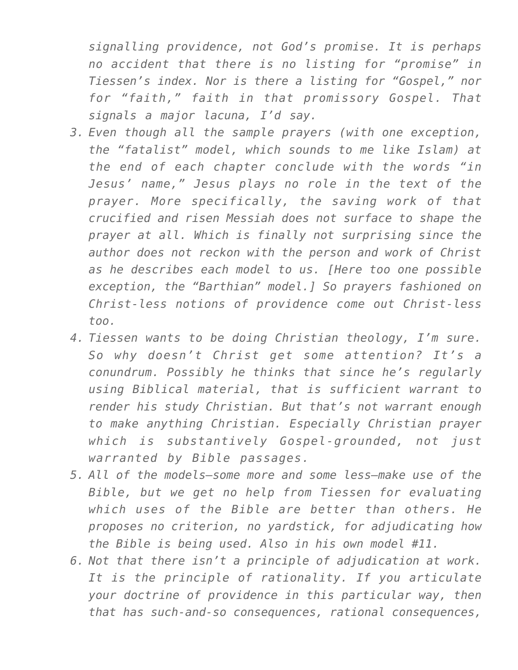*signalling providence, not God's promise. It is perhaps no accident that there is no listing for "promise" in Tiessen's index. Nor is there a listing for "Gospel," nor for "faith," faith in that promissory Gospel. That signals a major lacuna, I'd say.*

- *3. Even though all the sample prayers (with one exception, the "fatalist" model, which sounds to me like Islam) at the end of each chapter conclude with the words "in Jesus' name," Jesus plays no role in the text of the prayer. More specifically, the saving work of that crucified and risen Messiah does not surface to shape the prayer at all. Which is finally not surprising since the author does not reckon with the person and work of Christ as he describes each model to us. [Here too one possible exception, the "Barthian" model.] So prayers fashioned on Christ-less notions of providence come out Christ-less too.*
- *4. Tiessen wants to be doing Christian theology, I'm sure. So why doesn't Christ get some attention? It's a conundrum. Possibly he thinks that since he's regularly using Biblical material, that is sufficient warrant to render his study Christian. But that's not warrant enough to make anything Christian. Especially Christian prayer which is substantively Gospel-grounded, not just warranted by Bible passages.*
- *5. All of the models–some more and some less–make use of the Bible, but we get no help from Tiessen for evaluating which uses of the Bible are better than others. He proposes no criterion, no yardstick, for adjudicating how the Bible is being used. Also in his own model #11.*
- *6. Not that there isn't a principle of adjudication at work. It is the principle of rationality. If you articulate your doctrine of providence in this particular way, then that has such-and-so consequences, rational consequences,*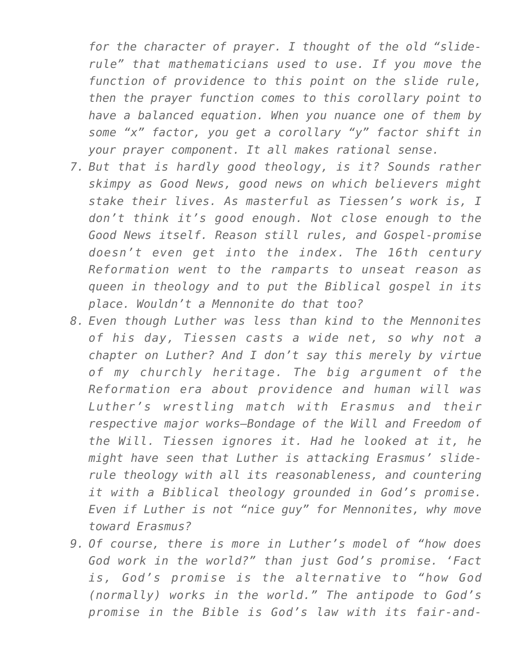*for the character of prayer. I thought of the old "sliderule" that mathematicians used to use. If you move the function of providence to this point on the slide rule, then the prayer function comes to this corollary point to have a balanced equation. When you nuance one of them by some "x" factor, you get a corollary "y" factor shift in your prayer component. It all makes rational sense.*

- *7. But that is hardly good theology, is it? Sounds rather skimpy as Good News, good news on which believers might stake their lives. As masterful as Tiessen's work is, I don't think it's good enough. Not close enough to the Good News itself. Reason still rules, and Gospel-promise doesn't even get into the index. The 16th century Reformation went to the ramparts to unseat reason as queen in theology and to put the Biblical gospel in its place. Wouldn't a Mennonite do that too?*
- *8. Even though Luther was less than kind to the Mennonites of his day, Tiessen casts a wide net, so why not a chapter on Luther? And I don't say this merely by virtue of my churchly heritage. The big argument of the Reformation era about providence and human will was Luther's wrestling match with Erasmus and their respective major works–Bondage of the Will and Freedom of the Will. Tiessen ignores it. Had he looked at it, he might have seen that Luther is attacking Erasmus' sliderule theology with all its reasonableness, and countering it with a Biblical theology grounded in God's promise. Even if Luther is not "nice guy" for Mennonites, why move toward Erasmus?*
- *9. Of course, there is more in Luther's model of "how does God work in the world?" than just God's promise. 'Fact is, God's promise is the alternative to "how God (normally) works in the world." The antipode to God's promise in the Bible is God's law with its fair-and-*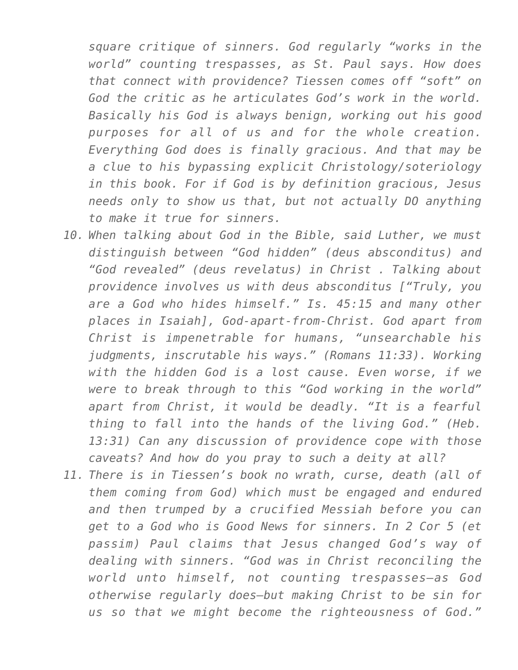*square critique of sinners. God regularly "works in the world" counting trespasses, as St. Paul says. How does that connect with providence? Tiessen comes off "soft" on God the critic as he articulates God's work in the world. Basically his God is always benign, working out his good purposes for all of us and for the whole creation. Everything God does is finally gracious. And that may be a clue to his bypassing explicit Christology/soteriology in this book. For if God is by definition gracious, Jesus needs only to show us that, but not actually DO anything to make it true for sinners.*

- *10. When talking about God in the Bible, said Luther, we must distinguish between "God hidden" (deus absconditus) and "God revealed" (deus revelatus) in Christ . Talking about providence involves us with deus absconditus ["Truly, you are a God who hides himself." Is. 45:15 and many other places in Isaiah], God-apart-from-Christ. God apart from Christ is impenetrable for humans, "unsearchable his judgments, inscrutable his ways." (Romans 11:33). Working with the hidden God is a lost cause. Even worse, if we were to break through to this "God working in the world" apart from Christ, it would be deadly. "It is a fearful thing to fall into the hands of the living God." (Heb. 13:31) Can any discussion of providence cope with those caveats? And how do you pray to such a deity at all?*
- *11. There is in Tiessen's book no wrath, curse, death (all of them coming from God) which must be engaged and endured and then trumped by a crucified Messiah before you can get to a God who is Good News for sinners. In 2 Cor 5 (et passim) Paul claims that Jesus changed God's way of dealing with sinners. "God was in Christ reconciling the world unto himself, not counting trespasses–as God otherwise regularly does–but making Christ to be sin for us so that we might become the righteousness of God."*